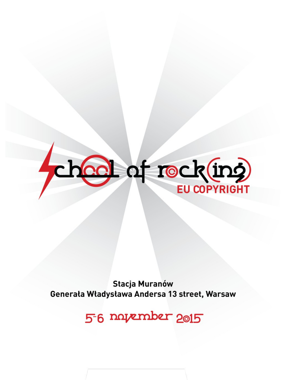

**Stacja Muranów** Generała Władysława Andersa 13 street, Warsaw

56 navember 2015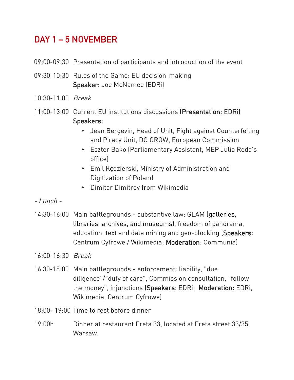## DAY 1 – 5 NOVEMBER

- 09:00-09:30 Presentation of participants and introduction of the event
- 09:30-10:30 Rules of the Game: EU decision-making Speaker: Joe McNamee (EDRi)
- 10:30-11.00 Break
- 11:00-13:00 Current EU institutions discussions (Presentation: EDRi) Speakers:
	- Jean Bergevin, Head of Unit, Fight against Counterfeiting and Piracy Unit, DG GROW, European Commission
	- Eszter Bako (Parliamentary Assistant, MEP Julia Reda's office)
	- Emil Kedzierski, Ministry of Administration and Digitization of Poland
	- Dimitar Dimitrov from Wikimedia
- $-Lunch -$
- 14:30-16:00 Main battlegrounds substantive law: GLAM (galleries, libraries, archives, and museums), freedom of panorama, education, text and data mining and geo-blocking (Speakers: Centrum Cyfrowe / Wikimedia; Moderation: Communia)
- 16:00-16:30 Break
- 16.30-18:00 Main battlegrounds enforcement: liability, "due diligence"/"duty of care", Commission consultation, "follow the money", injunctions (Speakers: EDRi; Moderation: EDRi, Wikimedia, Centrum Cyfrowe)
- 18:00- 19:00 Time to rest before dinner
- 19:00h Dinner at restaurant Freta 33, located at Freta street 33/35, Warsaw.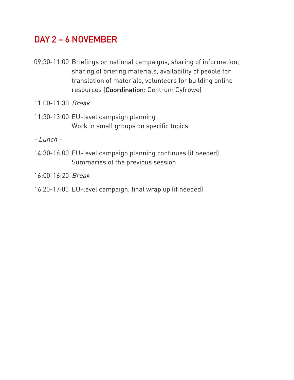## DAY 2 – 6 NOVEMBER

- 09:30-11:00 Briefings on national campaigns, sharing of information, sharing of briefing materials, availability of people for translation of materials, volunteers for building online resources (Coordination: Centrum Cyfrowe)
- 11:00-11:30 Break
- 11:30-13:00 EU-level campaign planning Work in small groups on specific topics

- Lunch -

14:30-16:00 EU-level campaign planning continues (if needed) Summaries of the previous session

16:00-16:20 Break

16.20-17:00 EU-level campaign, final wrap up (if needed)